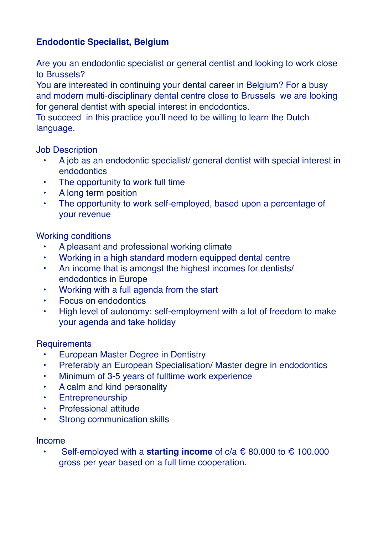## **Endodontic Specialist, Belgium**

Are you an endodontic specialist or general dentist and looking to work close to Brussels?

You are interested in continuing your dental career in Belgium? For a busy and modern multi-disciplinary dental centre close to Brussels we are looking for general dentist with special interest in endodontics.

To succeed in this practice you'll need to be willing to learn the Dutch language.

Job Description

- A job as an endodontic specialist/ general dentist with special interest in endodontics
- The opportunity to work full time
- A long term position
- The opportunity to work self-employed, based upon a percentage of your revenue

Working conditions

- A pleasant and professional working climate
- Working in a high standard modern equipped dental centre
- An income that is amongst the highest incomes for dentists/ endodontics in Europe
- Working with a full agenda from the start
- Focus on endodontics
- High level of autonomy: self-employment with a lot of freedom to make your agenda and take holiday

## **Requirements**

- European Master Degree in Dentistry
- Preferably an European Specialisation/ Master degre in endodontics
- Minimum of 3-5 years of fulltime work experience
- A calm and kind personality
- Entrepreneurship
- Professional attitude
- Strong communication skills

## Income

• Self-employed with a **starting income** of c/a € 80.000 to € 100.000 gross per year based on a full time cooperation.